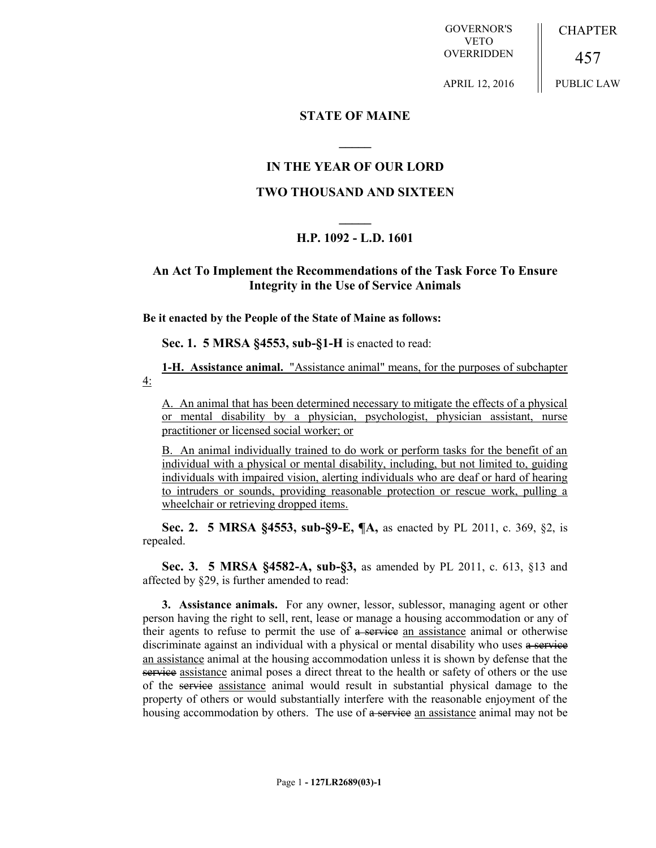GOVERNOR'S VETO OVERRIDDEN **CHAPTER** 

457 PUBLIC LAW

APRIL 12, 2016

## **STATE OF MAINE**

## **IN THE YEAR OF OUR LORD**

**\_\_\_\_\_**

## **TWO THOUSAND AND SIXTEEN**

# **\_\_\_\_\_ H.P. 1092 - L.D. 1601**

## **An Act To Implement the Recommendations of the Task Force To Ensure Integrity in the Use of Service Animals**

**Be it enacted by the People of the State of Maine as follows:**

**Sec. 1. 5 MRSA §4553, sub-§1-H** is enacted to read:

**1-H. Assistance animal.** "Assistance animal" means, for the purposes of subchapter 4:

A. An animal that has been determined necessary to mitigate the effects of a physical or mental disability by a physician, psychologist, physician assistant, nurse practitioner or licensed social worker; or

B. An animal individually trained to do work or perform tasks for the benefit of an individual with a physical or mental disability, including, but not limited to, guiding individuals with impaired vision, alerting individuals who are deaf or hard of hearing to intruders or sounds, providing reasonable protection or rescue work, pulling a wheelchair or retrieving dropped items.

**Sec. 2. 5 MRSA §4553, sub-§9-E, ¶A,** as enacted by PL 2011, c. 369, §2, is repealed.

**Sec. 3. 5 MRSA §4582-A, sub-§3,** as amended by PL 2011, c. 613, §13 and affected by §29, is further amended to read:

**3. Assistance animals.** For any owner, lessor, sublessor, managing agent or other person having the right to sell, rent, lease or manage a housing accommodation or any of their agents to refuse to permit the use of  $\alpha$  service an assistance animal or otherwise discriminate against an individual with a physical or mental disability who uses a service an assistance animal at the housing accommodation unless it is shown by defense that the service assistance animal poses a direct threat to the health or safety of others or the use of the service assistance animal would result in substantial physical damage to the property of others or would substantially interfere with the reasonable enjoyment of the housing accommodation by others. The use of a service an assistance animal may not be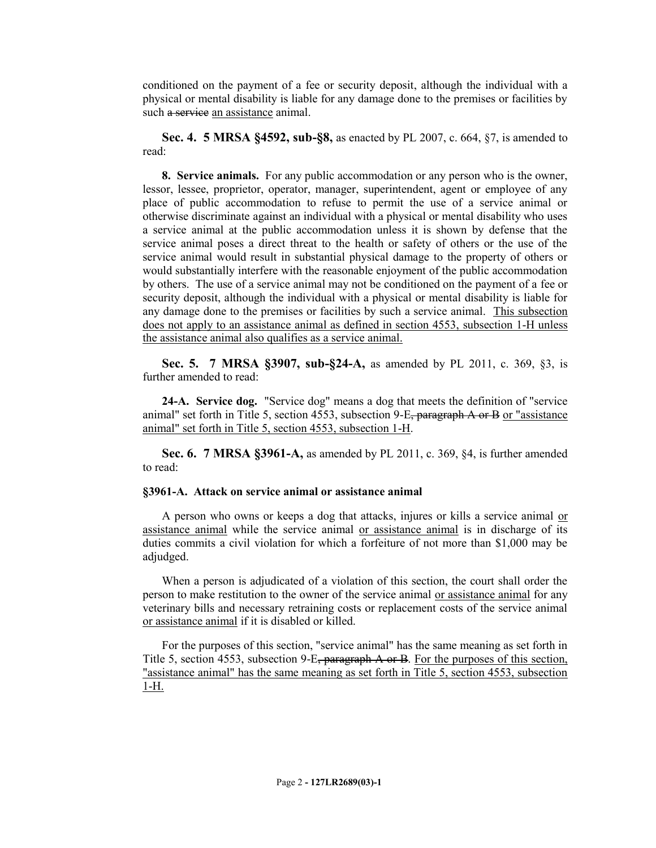conditioned on the payment of a fee or security deposit, although the individual with a physical or mental disability is liable for any damage done to the premises or facilities by such a service an assistance animal.

**Sec. 4. 5 MRSA §4592, sub-§8,** as enacted by PL 2007, c. 664, §7, is amended to read:

**8. Service animals.** For any public accommodation or any person who is the owner, lessor, lessee, proprietor, operator, manager, superintendent, agent or employee of any place of public accommodation to refuse to permit the use of a service animal or otherwise discriminate against an individual with a physical or mental disability who uses a service animal at the public accommodation unless it is shown by defense that the service animal poses a direct threat to the health or safety of others or the use of the service animal would result in substantial physical damage to the property of others or would substantially interfere with the reasonable enjoyment of the public accommodation by others. The use of a service animal may not be conditioned on the payment of a fee or security deposit, although the individual with a physical or mental disability is liable for any damage done to the premises or facilities by such a service animal. This subsection does not apply to an assistance animal as defined in section 4553, subsection 1-H unless the assistance animal also qualifies as a service animal.

**Sec. 5. 7 MRSA §3907, sub-§24-A,** as amended by PL 2011, c. 369, §3, is further amended to read:

**24-A. Service dog.** "Service dog" means a dog that meets the definition of "service animal" set forth in Title 5, section 4553, subsection  $9-E$ , paragraph A or B or "assistance" animal" set forth in Title 5, section 4553, subsection 1-H.

**Sec. 6. 7 MRSA §3961-A,** as amended by PL 2011, c. 369, §4, is further amended to read:

### **§3961-A. Attack on service animal or assistance animal**

A person who owns or keeps a dog that attacks, injures or kills a service animal or assistance animal while the service animal or assistance animal is in discharge of its duties commits a civil violation for which a forfeiture of not more than \$1,000 may be adjudged.

When a person is adjudicated of a violation of this section, the court shall order the person to make restitution to the owner of the service animal or assistance animal for any veterinary bills and necessary retraining costs or replacement costs of the service animal or assistance animal if it is disabled or killed.

For the purposes of this section, "service animal" has the same meaning as set forth in Title 5, section 4553, subsection 9-E, paragraph A or B. For the purposes of this section, "assistance animal" has the same meaning as set forth in Title 5, section 4553, subsection 1-H.